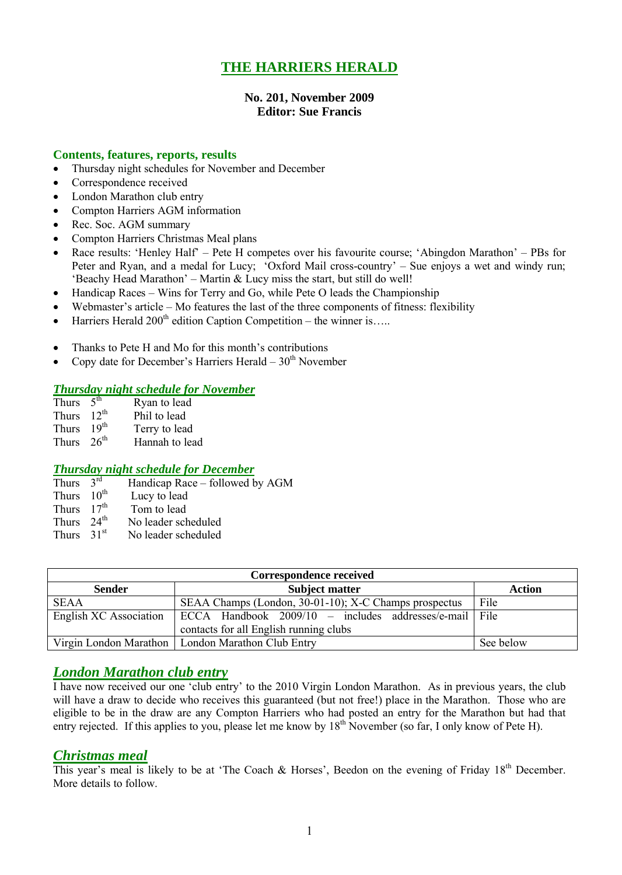## **THE HARRIERS HERALD**

#### **No. 201, November 2009 Editor: Sue Francis**

#### **Contents, features, reports, results**

- Thursday night schedules for November and December
- Correspondence received
- London Marathon club entry
- Compton Harriers AGM information
- Rec. Soc. AGM summary
- Compton Harriers Christmas Meal plans
- Race results: 'Henley Half' Pete H competes over his favourite course; 'Abingdon Marathon' PBs for Peter and Ryan, and a medal for Lucy; 'Oxford Mail cross-country' – Sue enjoys a wet and windy run; 'Beachy Head Marathon' – Martin & Lucy miss the start, but still do well!
- Handicap Races Wins for Terry and Go, while Pete O leads the Championship
- Webmaster's article Mo features the last of the three components of fitness: flexibility
- $\bullet$  Harriers Herald 200<sup>th</sup> edition Caption Competition the winner is…..
- Thanks to Pete H and Mo for this month's contributions
- Copy date for December's Harriers Herald  $30<sup>th</sup>$  November

#### *Thursday night schedule for November*

| 5 <sup>th</sup>  | Ryan to lead          |
|------------------|-----------------------|
| $12^{th}$        | Phil to lead          |
| 19 <sup>th</sup> | Terry to lead         |
|                  | Hannah to lead        |
|                  | Thurs<br>Thurs $26th$ |

#### *Thursday night schedule for December*

- Thurs  $3<sup>rd</sup>$ Handicap Race – followed by AGM<br>Lucy to lead
- Thurs  $10^{th}$
- Thurs  $17<sup>th</sup>$  Tom to lead
- Thurs  $24^{th}$ <br>Thurs  $31^{st}$ No leader scheduled
- No leader scheduled

| Correspondence received |                                                          |           |  |  |  |  |
|-------------------------|----------------------------------------------------------|-----------|--|--|--|--|
| <b>Sender</b>           | Action                                                   |           |  |  |  |  |
| <b>SEAA</b>             | SEAA Champs (London, 30-01-10); X-C Champs prospectus    | File      |  |  |  |  |
| English XC Association  | ECCA Handbook $2009/10$ – includes addresses/e-mail File |           |  |  |  |  |
|                         | contacts for all English running clubs                   |           |  |  |  |  |
|                         | Virgin London Marathon   London Marathon Club Entry      | See below |  |  |  |  |

### *London Marathon club entry*

I have now received our one 'club entry' to the 2010 Virgin London Marathon. As in previous years, the club will have a draw to decide who receives this guaranteed (but not free!) place in the Marathon. Those who are eligible to be in the draw are any Compton Harriers who had posted an entry for the Marathon but had that entry rejected. If this applies to you, please let me know by 18<sup>th</sup> November (so far, I only know of Pete H).

#### *Christmas meal*

This year's meal is likely to be at 'The Coach & Horses', Beedon on the evening of Friday 18<sup>th</sup> December. More details to follow.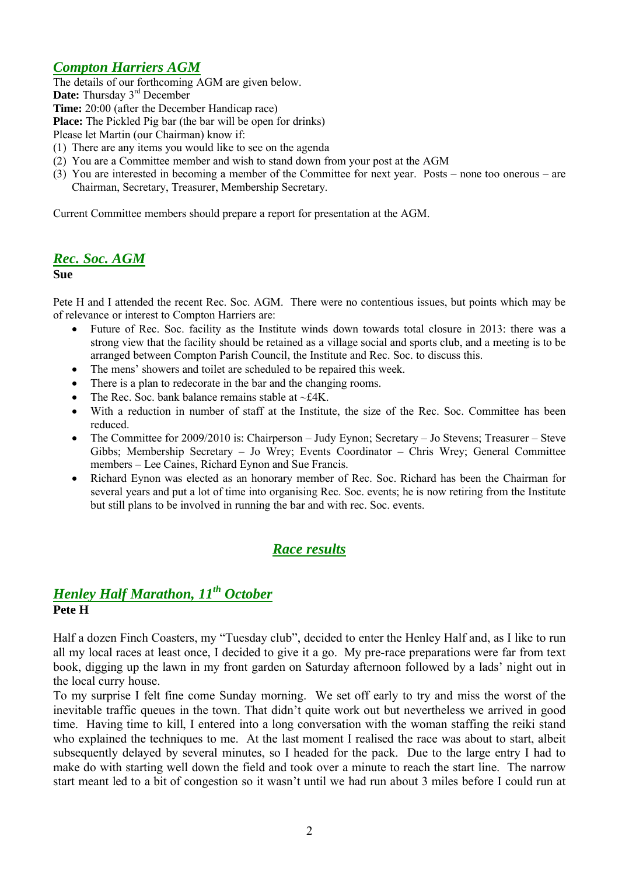## *Compton Harriers AGM*

The details of our forthcoming AGM are given below.

Date: Thursday 3<sup>rd</sup> December

**Time:** 20:00 (after the December Handicap race)

**Place:** The Pickled Pig bar (the bar will be open for drinks)

Please let Martin (our Chairman) know if:

- (1) There are any items you would like to see on the agenda
- (2) You are a Committee member and wish to stand down from your post at the AGM
- (3) You are interested in becoming a member of the Committee for next year. Posts none too onerous are Chairman, Secretary, Treasurer, Membership Secretary.

Current Committee members should prepare a report for presentation at the AGM.

## *Rec. Soc. AGM*

#### **Sue**

Pete H and I attended the recent Rec. Soc. AGM. There were no contentious issues, but points which may be of relevance or interest to Compton Harriers are:

- Future of Rec. Soc. facility as the Institute winds down towards total closure in 2013: there was a strong view that the facility should be retained as a village social and sports club, and a meeting is to be arranged between Compton Parish Council, the Institute and Rec. Soc. to discuss this.
- The mens' showers and toilet are scheduled to be repaired this week.
- There is a plan to redecorate in the bar and the changing rooms.
- The Rec. Soc. bank balance remains stable at  $\sim$ £4K.
- With a reduction in number of staff at the Institute, the size of the Rec. Soc. Committee has been reduced.
- The Committee for 2009/2010 is: Chairperson Judy Eynon; Secretary Jo Stevens; Treasurer Steve Gibbs; Membership Secretary – Jo Wrey; Events Coordinator – Chris Wrey; General Committee members – Lee Caines, Richard Eynon and Sue Francis.
- Richard Eynon was elected as an honorary member of Rec. Soc. Richard has been the Chairman for several years and put a lot of time into organising Rec. Soc. events; he is now retiring from the Institute but still plans to be involved in running the bar and with rec. Soc. events.

## *Race results*

## *Henley Half Marathon, 11th October* **Pete H**

Half a dozen Finch Coasters, my "Tuesday club", decided to enter the Henley Half and, as I like to run all my local races at least once, I decided to give it a go. My pre-race preparations were far from text book, digging up the lawn in my front garden on Saturday afternoon followed by a lads' night out in the local curry house.

To my surprise I felt fine come Sunday morning. We set off early to try and miss the worst of the inevitable traffic queues in the town. That didn't quite work out but nevertheless we arrived in good time. Having time to kill, I entered into a long conversation with the woman staffing the reiki stand who explained the techniques to me. At the last moment I realised the race was about to start, albeit subsequently delayed by several minutes, so I headed for the pack. Due to the large entry I had to make do with starting well down the field and took over a minute to reach the start line. The narrow start meant led to a bit of congestion so it wasn't until we had run about 3 miles before I could run at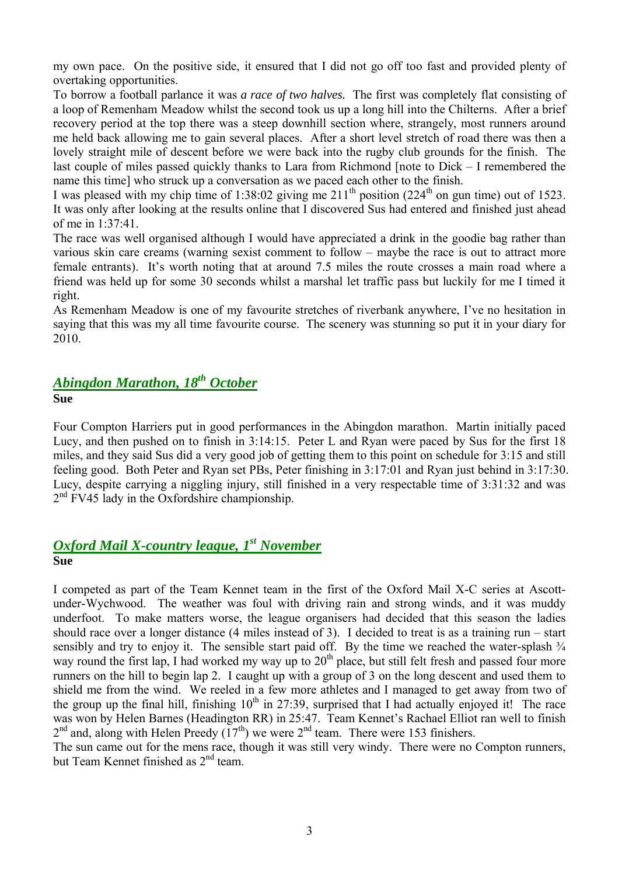my own pace. On the positive side, it ensured that I did not go off too fast and provided plenty of overtaking opportunities.

To borrow a football parlance it was *a race of two halves.* The first was completely flat consisting of a loop of Remenham Meadow whilst the second took us up a long hill into the Chilterns. After a brief recovery period at the top there was a steep downhill section where, strangely, most runners around me held back allowing me to gain several places. After a short level stretch of road there was then a lovely straight mile of descent before we were back into the rugby club grounds for the finish. The last couple of miles passed quickly thanks to Lara from Richmond [note to Dick – I remembered the name this time] who struck up a conversation as we paced each other to the finish.

I was pleased with my chip time of 1:38:02 giving me  $211^{th}$  position (224<sup>th</sup> on gun time) out of 1523. It was only after looking at the results online that I discovered Sus had entered and finished just ahead of me in 1:37:41.

The race was well organised although I would have appreciated a drink in the goodie bag rather than various skin care creams (warning sexist comment to follow – maybe the race is out to attract more female entrants). It's worth noting that at around 7.5 miles the route crosses a main road where a friend was held up for some 30 seconds whilst a marshal let traffic pass but luckily for me I timed it right.

As Remenham Meadow is one of my favourite stretches of riverbank anywhere, I've no hesitation in saying that this was my all time favourite course. The scenery was stunning so put it in your diary for 2010.

### *Abingdon Marathon, 18th October* **Sue**

Four Compton Harriers put in good performances in the Abingdon marathon. Martin initially paced Lucy, and then pushed on to finish in 3:14:15. Peter L and Ryan were paced by Sus for the first 18 miles, and they said Sus did a very good job of getting them to this point on schedule for 3:15 and still feeling good. Both Peter and Ryan set PBs, Peter finishing in 3:17:01 and Ryan just behind in 3:17:30. Lucy, despite carrying a niggling injury, still finished in a very respectable time of 3:31:32 and was 2<sup>nd</sup> FV45 lady in the Oxfordshire championship.

### *Oxford Mail X-country league, 1 st November* **Sue**

I competed as part of the Team Kennet team in the first of the Oxford Mail X-C series at Ascottunder-Wychwood. The weather was foul with driving rain and strong winds, and it was muddy underfoot. To make matters worse, the league organisers had decided that this season the ladies should race over a longer distance (4 miles instead of 3). I decided to treat is as a training run – start sensibly and try to enjoy it. The sensible start paid off. By the time we reached the water-splash  $\frac{3}{4}$ way round the first lap, I had worked my way up to 20<sup>th</sup> place, but still felt fresh and passed four more runners on the hill to begin lap 2. I caught up with a group of 3 on the long descent and used them to shield me from the wind. We reeled in a few more athletes and I managed to get away from two of the group up the final hill, finishing  $10<sup>th</sup>$  in 27:39, surprised that I had actually enjoyed it! The race was won by Helen Barnes (Headington RR) in 25:47. Team Kennet's Rachael Elliot ran well to finish  $2<sup>nd</sup>$  and, along with Helen Preedy  $(17<sup>th</sup>)$  we were  $2<sup>nd</sup>$  team. There were 153 finishers.

The sun came out for the mens race, though it was still very windy. There were no Compton runners, but Team Kennet finished as 2<sup>nd</sup> team.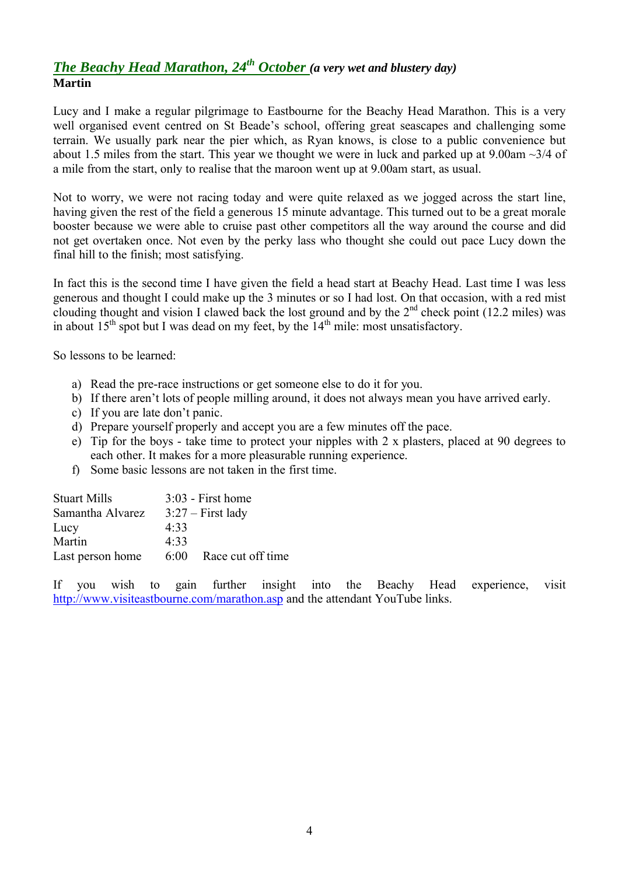## *The Beachy Head Marathon, 24th October (a very wet and blustery day)* **Martin**

Lucy and I make a regular pilgrimage to Eastbourne for the Beachy Head Marathon. This is a very well organised event centred on St Beade's school, offering great seascapes and challenging some terrain. We usually park near the pier which, as Ryan knows, is close to a public convenience but about 1.5 miles from the start. This year we thought we were in luck and parked up at  $9.00$ am  $\sim$ 3/4 of a mile from the start, only to realise that the maroon went up at 9.00am start, as usual.

Not to worry, we were not racing today and were quite relaxed as we jogged across the start line, having given the rest of the field a generous 15 minute advantage. This turned out to be a great morale booster because we were able to cruise past other competitors all the way around the course and did not get overtaken once. Not even by the perky lass who thought she could out pace Lucy down the final hill to the finish; most satisfying.

In fact this is the second time I have given the field a head start at Beachy Head. Last time I was less generous and thought I could make up the 3 minutes or so I had lost. On that occasion, with a red mist clouding thought and vision I clawed back the lost ground and by the  $2<sup>nd</sup>$  check point (12.2 miles) was in about  $15<sup>th</sup>$  spot but I was dead on my feet, by the  $14<sup>th</sup>$  mile: most unsatisfactory.

So lessons to be learned:

- a) Read the pre-race instructions or get someone else to do it for you.
- b) If there aren't lots of people milling around, it does not always mean you have arrived early.
- c) If you are late don't panic.
- d) Prepare yourself properly and accept you are a few minutes off the pace.
- e) Tip for the boys take time to protect your nipples with 2 x plasters, placed at 90 degrees to each other. It makes for a more pleasurable running experience.
- f) Some basic lessons are not taken in the first time.

| <b>Stuart Mills</b> |      | $3:03$ - First home |
|---------------------|------|---------------------|
| Samantha Alvarez    |      | $3:27$ – First lady |
| Lucy                | 4.33 |                     |
| Martin              | 4.33 |                     |
| Last person home    | 6:00 | Race cut off time   |
|                     |      |                     |

If you wish to gain further insight into the Beachy Head experience, visit http://www.visiteastbourne.com/marathon.asp and the attendant YouTube links.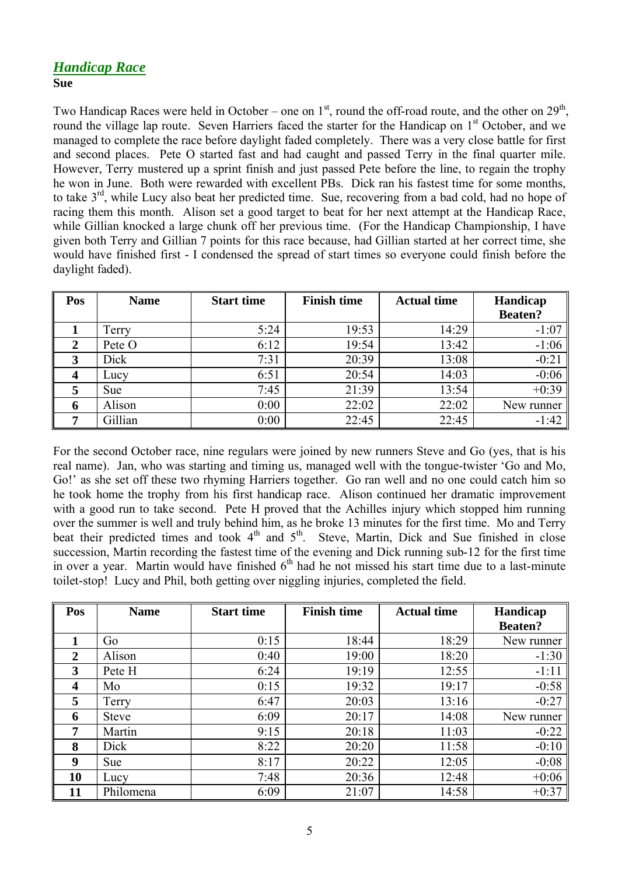## *Handicap Race* **Sue**

Two Handicap Races were held in October – one on  $1<sup>st</sup>$ , round the off-road route, and the other on  $29<sup>th</sup>$ , round the village lap route. Seven Harriers faced the starter for the Handicap on 1<sup>st</sup> October, and we managed to complete the race before daylight faded completely. There was a very close battle for first and second places. Pete O started fast and had caught and passed Terry in the final quarter mile. However, Terry mustered up a sprint finish and just passed Pete before the line, to regain the trophy he won in June. Both were rewarded with excellent PBs. Dick ran his fastest time for some months, to take 3<sup>rd</sup>, while Lucy also beat her predicted time. Sue, recovering from a bad cold, had no hope of racing them this month. Alison set a good target to beat for her next attempt at the Handicap Race, while Gillian knocked a large chunk off her previous time. (For the Handicap Championship, I have given both Terry and Gillian 7 points for this race because, had Gillian started at her correct time, she would have finished first - I condensed the spread of start times so everyone could finish before the daylight faded).

| Pos                     | <b>Name</b> | <b>Start time</b> | <b>Finish time</b> | <b>Actual time</b> | Handicap       |  |
|-------------------------|-------------|-------------------|--------------------|--------------------|----------------|--|
|                         |             |                   |                    |                    | <b>Beaten?</b> |  |
|                         | Terry       | 5:24              | 19:53              | 14:29              | $-1:07$        |  |
| $\overline{2}$          | Pete O      | 6:12              | 19:54              | 13:42              | $-1:06$        |  |
| 3                       | Dick        | 7:31              | 20:39              | 13:08              | $-0:21$        |  |
| $\overline{\mathbf{4}}$ | Lucy        | 6:51              | 20:54              | 14:03              | $-0:06$        |  |
|                         | <b>Sue</b>  | 7:45              | 21:39              | 13:54              | $+0:39$        |  |
| 6                       | Alison      | 0:00              | 22:02              | 22:02              | New runner     |  |
| 7                       | Gillian     | 0:00              | 22:45              | 22:45              | $-1:42$        |  |

For the second October race, nine regulars were joined by new runners Steve and Go (yes, that is his real name). Jan, who was starting and timing us, managed well with the tongue-twister 'Go and Mo, Go!' as she set off these two rhyming Harriers together. Go ran well and no one could catch him so he took home the trophy from his first handicap race. Alison continued her dramatic improvement with a good run to take second. Pete H proved that the Achilles injury which stopped him running over the summer is well and truly behind him, as he broke 13 minutes for the first time. Mo and Terry beat their predicted times and took  $4<sup>th</sup>$  and  $5<sup>th</sup>$ . Steve, Martin, Dick and Sue finished in close succession, Martin recording the fastest time of the evening and Dick running sub-12 for the first time in over a year. Martin would have finished  $6<sup>th</sup>$  had he not missed his start time due to a last-minute toilet-stop! Lucy and Phil, both getting over niggling injuries, completed the field.

| Pos            | <b>Name</b>  | <b>Start time</b> | <b>Finish time</b> | <b>Actual time</b> |                |  |
|----------------|--------------|-------------------|--------------------|--------------------|----------------|--|
|                |              |                   |                    |                    | <b>Beaten?</b> |  |
| 1              | Go           | 0:15              | 18:44              | 18:29              | New runner     |  |
| $\overline{2}$ | Alison       | 0:40              | 19:00              | 18:20              | $-1:30$        |  |
| 3              | Pete H       | 6:24              | 19:19              | 12:55              | $-1:11$        |  |
| 4              | Mo           | 0:15              | 19:32              | 19:17              | $-0:58$        |  |
| 5              | Terry        | 6:47              | 20:03              | 13:16              | $-0:27$        |  |
| 6              | <b>Steve</b> | 6:09              | 20:17              | 14:08              | New runner     |  |
| 7              | Martin       | 9:15              | 20:18              | 11:03              | $-0:22$        |  |
| 8              | Dick         | 8:22              | 20:20              | 11:58              | $-0:10$        |  |
| 9              | <b>Sue</b>   | 8:17              | 20:22              | 12:05              | $-0:08$        |  |
| 10             | Lucy         | 7:48              | 20:36              | 12:48              | $+0:06$        |  |
| 11             | Philomena    | 6:09              | 21:07              | 14:58              | $+0:37$        |  |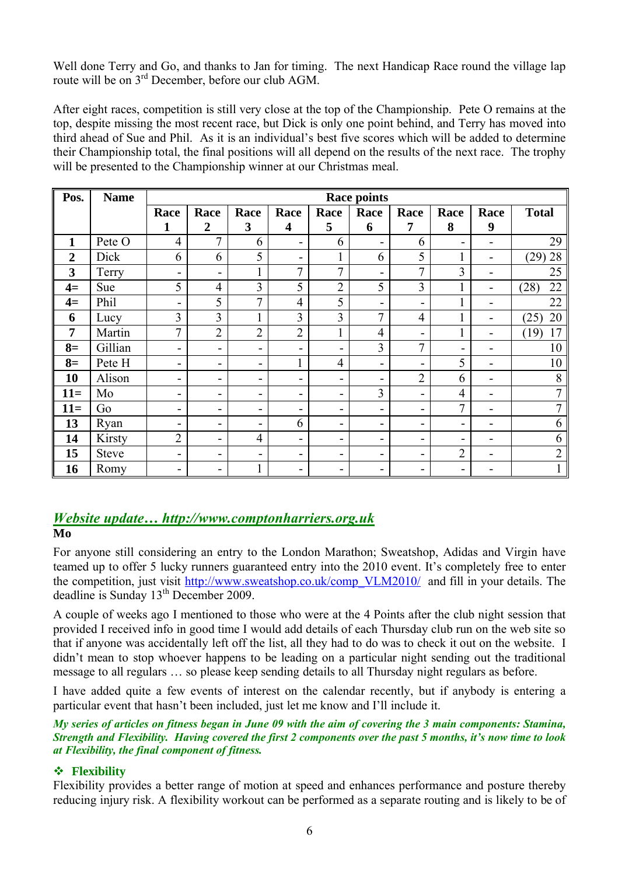Well done Terry and Go, and thanks to Jan for timing. The next Handicap Race round the village lap route will be on 3<sup>rd</sup> December, before our club AGM.

After eight races, competition is still very close at the top of the Championship. Pete O remains at the top, despite missing the most recent race, but Dick is only one point behind, and Terry has moved into third ahead of Sue and Phil. As it is an individual's best five scores which will be added to determine their Championship total, the final positions will all depend on the results of the next race. The trophy will be presented to the Championship winner at our Christmas meal.

| Pos.           | <b>Name</b>  | <b>Race points</b>       |                |                          |                         |                |                |                |                          |      |                |
|----------------|--------------|--------------------------|----------------|--------------------------|-------------------------|----------------|----------------|----------------|--------------------------|------|----------------|
|                |              | Race                     | Race           | Race                     | Race                    | Race           | Race           | Race           | Race                     | Race | <b>Total</b>   |
|                |              | 1                        | $\overline{2}$ | 3                        | $\overline{\mathbf{4}}$ | 5              | 6              | 7              | 8                        | 9    |                |
| 1              | Pete O       | $\overline{4}$           | 7              | 6                        | $\blacksquare$          | 6              |                | 6              | -                        |      | 29             |
| $\overline{2}$ | Dick         | 6                        | 6              | 5                        | Ξ.                      | 1              | 6              | 5              |                          |      | 28<br>(29)     |
| 3              | Terry        | $\overline{\phantom{a}}$ | -              | T.                       | $\overline{7}$          | 7              |                | 7              | 3                        |      | 25             |
| $4=$           | Sue          | 5                        | $\overline{4}$ | 3                        | 5                       | $\overline{2}$ | 5              | 3              |                          |      | 22<br>(28)     |
| $4=$           | Phil         | $\overline{\phantom{a}}$ | 5              | 7                        | $\overline{4}$          | 5              | -              | -              |                          |      | 22             |
| 6              | Lucy         | 3                        | 3              | 1                        | 3                       | 3              | $\tau$         | $\overline{4}$ | 1                        |      | 20<br>(25)     |
| $\overline{7}$ | Martin       | 7                        | $\overline{2}$ | $\overline{2}$           | $\overline{2}$          |                | $\overline{4}$ | -              |                          |      | 17<br>(19)     |
| $8=$           | Gillian      | $\overline{\phantom{a}}$ | ÷              | -                        | -                       | -              | 3              | $\tau$         | $\blacksquare$           |      | 10             |
| $8=$           | Pete H       | -                        | -              | $\blacksquare$           | T.                      | $\overline{4}$ | -              | -              | 5                        |      | 10             |
| 10             | Alison       | -                        | ۰              | Ξ.                       | Ξ.                      | Ξ.             | -              | $\overline{2}$ | 6                        |      | 8              |
| $11=$          | Mo           | $\overline{\phantom{a}}$ | -              | -                        | -                       | -              | 3              |                | 4                        |      | 7              |
| $11=$          | Go           | $\overline{\phantom{a}}$ | -              | Ξ.                       | -                       | -              | -              | -              | 7                        |      | $\overline{7}$ |
| 13             | Ryan         | $\overline{\phantom{a}}$ | -              | $\overline{\phantom{a}}$ | 6                       | -              | -              | -              | $\overline{\phantom{0}}$ |      | 6              |
| 14             | Kirsty       | $\overline{2}$           | -              | $\overline{4}$           | $\blacksquare$          | -              | -              | -              | $\overline{a}$           |      | 6              |
| 15             | <b>Steve</b> | $\overline{\phantom{a}}$ | ۰              | ۰                        | -                       | -              |                |                | $\overline{2}$           |      | $\overline{2}$ |
| 16             | Romy         | -                        | $\blacksquare$ |                          | -                       | -              |                |                | -                        |      | 1              |

## *Website update… http://www.comptonharriers.org.uk*

### **Mo**

For anyone still considering an entry to the London Marathon; Sweatshop, Adidas and Virgin have teamed up to offer 5 lucky runners guaranteed entry into the 2010 event. It's completely free to enter the competition, just visit http://www.sweatshop.co.uk/comp\_VLM2010/ and fill in your details. The deadline is Sunday 13<sup>th</sup> December 2009.

A couple of weeks ago I mentioned to those who were at the 4 Points after the club night session that provided I received info in good time I would add details of each Thursday club run on the web site so that if anyone was accidentally left off the list, all they had to do was to check it out on the website. I didn't mean to stop whoever happens to be leading on a particular night sending out the traditional message to all regulars … so please keep sending details to all Thursday night regulars as before.

I have added quite a few events of interest on the calendar recently, but if anybody is entering a particular event that hasn't been included, just let me know and I'll include it.

*My series of articles on fitness began in June 09 with the aim of covering the 3 main components: Stamina, Strength and Flexibility. Having covered the first 2 components over the past 5 months, it's now time to look at Flexibility, the final component of fitness.* 

## **Flexibility**

Flexibility provides a better range of motion at speed and enhances performance and posture thereby reducing injury risk. A flexibility workout can be performed as a separate routing and is likely to be of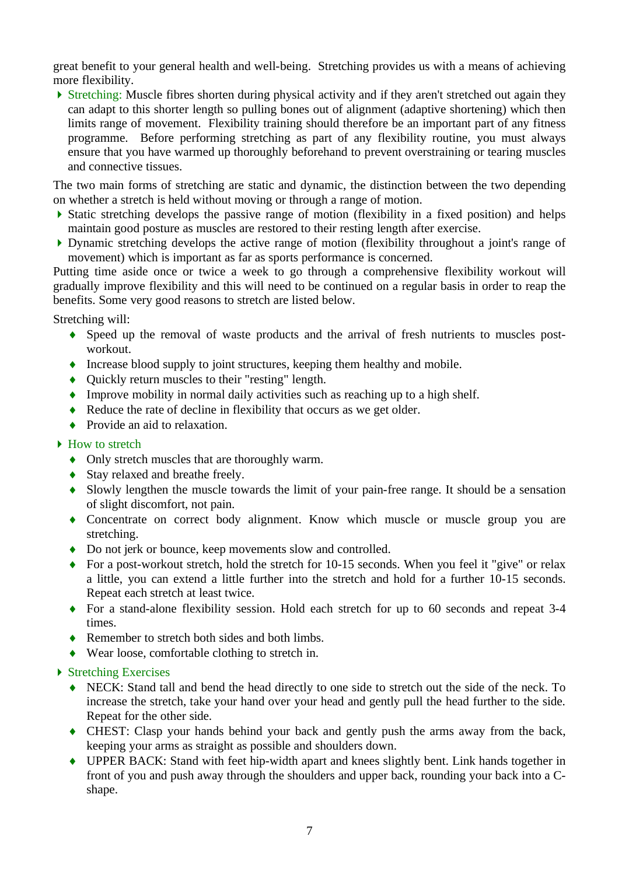great benefit to your general health and well-being. Stretching provides us with a means of achieving more flexibility.

 Stretching: Muscle fibres shorten during physical activity and if they aren't stretched out again they can adapt to this shorter length so pulling bones out of alignment (adaptive shortening) which then limits range of movement. Flexibility training should therefore be an important part of any fitness programme. Before performing stretching as part of any flexibility routine, you must always ensure that you have warmed up thoroughly beforehand to prevent overstraining or tearing muscles and connective tissues.

The two main forms of stretching are static and dynamic, the distinction between the two depending on whether a stretch is held without moving or through a range of motion.

- $\triangleright$  Static stretching develops the passive range of motion (flexibility in a fixed position) and helps maintain good posture as muscles are restored to their resting length after exercise.
- Dynamic stretching develops the active range of motion (flexibility throughout a joint's range of movement) which is important as far as sports performance is concerned.

Putting time aside once or twice a week to go through a comprehensive flexibility workout will gradually improve flexibility and this will need to be continued on a regular basis in order to reap the benefits. Some very good reasons to stretch are listed below.

Stretching will:

- Speed up the removal of waste products and the arrival of fresh nutrients to muscles postworkout.
- Increase blood supply to joint structures, keeping them healthy and mobile.
- Quickly return muscles to their "resting" length.
- Improve mobility in normal daily activities such as reaching up to a high shelf.
- Reduce the rate of decline in flexibility that occurs as we get older.
- Provide an aid to relaxation.

#### ▶ How to stretch

- Only stretch muscles that are thoroughly warm.
- ◆ Stay relaxed and breathe freely.
- Slowly lengthen the muscle towards the limit of your pain-free range. It should be a sensation of slight discomfort, not pain.
- Concentrate on correct body alignment. Know which muscle or muscle group you are stretching.
- ◆ Do not jerk or bounce, keep movements slow and controlled.
- ◆ For a post-workout stretch, hold the stretch for 10-15 seconds. When you feel it "give" or relax a little, you can extend a little further into the stretch and hold for a further 10-15 seconds. Repeat each stretch at least twice.
- For a stand-alone flexibility session. Hold each stretch for up to 60 seconds and repeat 3-4 times.
- ◆ Remember to stretch both sides and both limbs.
- Wear loose, comfortable clothing to stretch in.

#### ▶ Stretching Exercises

- NECK: Stand tall and bend the head directly to one side to stretch out the side of the neck. To increase the stretch, take your hand over your head and gently pull the head further to the side. Repeat for the other side.
- CHEST: Clasp your hands behind your back and gently push the arms away from the back, keeping your arms as straight as possible and shoulders down.
- UPPER BACK: Stand with feet hip-width apart and knees slightly bent. Link hands together in front of you and push away through the shoulders and upper back, rounding your back into a Cshape.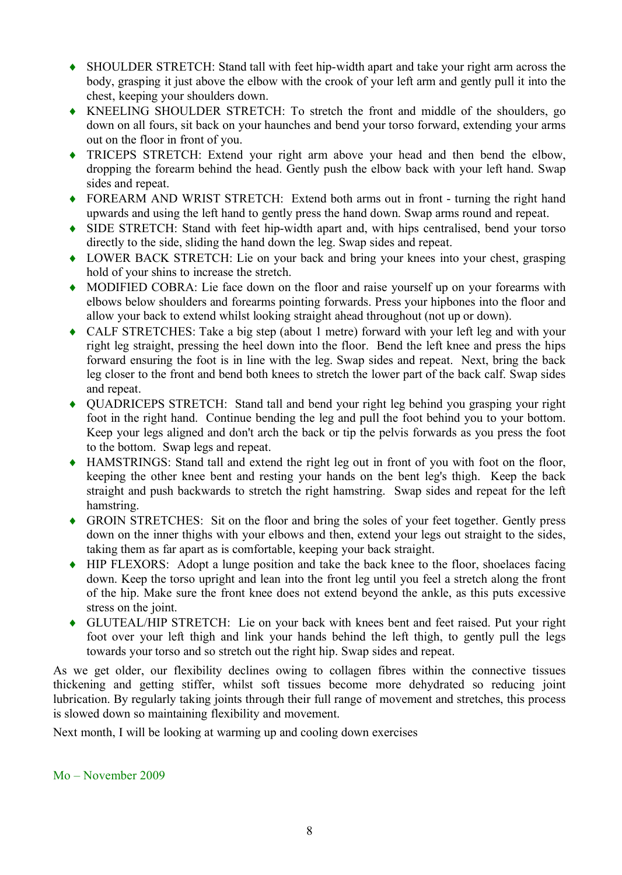- SHOULDER STRETCH: Stand tall with feet hip-width apart and take your right arm across the body, grasping it just above the elbow with the crook of your left arm and gently pull it into the chest, keeping your shoulders down.
- KNEELING SHOULDER STRETCH: To stretch the front and middle of the shoulders, go down on all fours, sit back on your haunches and bend your torso forward, extending your arms out on the floor in front of you.
- TRICEPS STRETCH: Extend your right arm above your head and then bend the elbow, dropping the forearm behind the head. Gently push the elbow back with your left hand. Swap sides and repeat.
- FOREARM AND WRIST STRETCH: Extend both arms out in front turning the right hand upwards and using the left hand to gently press the hand down. Swap arms round and repeat.
- SIDE STRETCH: Stand with feet hip-width apart and, with hips centralised, bend your torso directly to the side, sliding the hand down the leg. Swap sides and repeat.
- LOWER BACK STRETCH: Lie on your back and bring your knees into your chest, grasping hold of your shins to increase the stretch.
- MODIFIED COBRA: Lie face down on the floor and raise yourself up on your forearms with elbows below shoulders and forearms pointing forwards. Press your hipbones into the floor and allow your back to extend whilst looking straight ahead throughout (not up or down).
- CALF STRETCHES: Take a big step (about 1 metre) forward with your left leg and with your right leg straight, pressing the heel down into the floor. Bend the left knee and press the hips forward ensuring the foot is in line with the leg. Swap sides and repeat. Next, bring the back leg closer to the front and bend both knees to stretch the lower part of the back calf. Swap sides and repeat.
- QUADRICEPS STRETCH: Stand tall and bend your right leg behind you grasping your right foot in the right hand. Continue bending the leg and pull the foot behind you to your bottom. Keep your legs aligned and don't arch the back or tip the pelvis forwards as you press the foot to the bottom. Swap legs and repeat.
- HAMSTRINGS: Stand tall and extend the right leg out in front of you with foot on the floor, keeping the other knee bent and resting your hands on the bent leg's thigh. Keep the back straight and push backwards to stretch the right hamstring. Swap sides and repeat for the left hamstring.
- GROIN STRETCHES: Sit on the floor and bring the soles of your feet together. Gently press down on the inner thighs with your elbows and then, extend your legs out straight to the sides, taking them as far apart as is comfortable, keeping your back straight.
- HIP FLEXORS: Adopt a lunge position and take the back knee to the floor, shoelaces facing down. Keep the torso upright and lean into the front leg until you feel a stretch along the front of the hip. Make sure the front knee does not extend beyond the ankle, as this puts excessive stress on the joint.
- GLUTEAL/HIP STRETCH: Lie on your back with knees bent and feet raised. Put your right foot over your left thigh and link your hands behind the left thigh, to gently pull the legs towards your torso and so stretch out the right hip. Swap sides and repeat.

As we get older, our flexibility declines owing to collagen fibres within the connective tissues thickening and getting stiffer, whilst soft tissues become more dehydrated so reducing joint lubrication. By regularly taking joints through their full range of movement and stretches, this process is slowed down so maintaining flexibility and movement.

Next month, I will be looking at warming up and cooling down exercises

Mo – November 2009